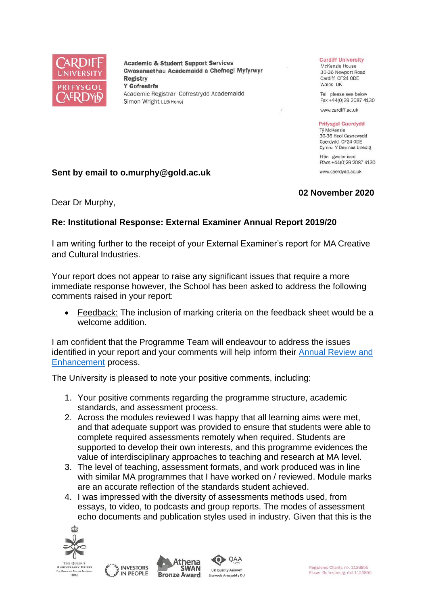

**Academic & Student Support Services** Gwasanaethau Academaidd a Chefnogi Myfyrwyr **Registry** Y Gofrestrfa Academic Registrar Cofrestrydd Academaidd Simon Wright LLB(Hons)

#### **Cardiff University**

McKenzie House 30-36 Newport Road Cardiff CF24 ODE Wales UK

Tel please see below Fax +44(0)29 2087 4130

www.cardiff.ac.uk

#### **Prifysgol Caerdydd**

Tỷ McKenzie 30-36 Heol Casnewydd Caerdydd CF24 ODE Cymru Y Deyrnas Unedig

Ffôn gweler isod Ffacs +44(0)29 2087 4130 www.caerdydd.ac.uk

**02 November 2020**

## **Sent by email to o.murphy@gold.ac.uk**

## Dear Dr Murphy,

# **Re: Institutional Response: External Examiner Annual Report 2019/20**

I am writing further to the receipt of your External Examiner's report for MA Creative and Cultural Industries.

Your report does not appear to raise any significant issues that require a more immediate response however, the School has been asked to address the following comments raised in your report:

• Feedback: The inclusion of marking criteria on the feedback sheet would be a welcome addition.

I am confident that the Programme Team will endeavour to address the issues identified in your report and your comments will help inform their [Annual Review and](https://www.cardiff.ac.uk/public-information/quality-and-standards/monitoring-and-review/annual-review-and-enhancement)  [Enhancement](https://www.cardiff.ac.uk/public-information/quality-and-standards/monitoring-and-review/annual-review-and-enhancement) process.

The University is pleased to note your positive comments, including:

- 1. Your positive comments regarding the programme structure, academic standards, and assessment process.
- 2. Across the modules reviewed I was happy that all learning aims were met, and that adequate support was provided to ensure that students were able to complete required assessments remotely when required. Students are supported to develop their own interests, and this programme evidences the value of interdisciplinary approaches to teaching and research at MA level.
- 3. The level of teaching, assessment formats, and work produced was in line with similar MA programmes that I have worked on / reviewed. Module marks are an accurate reflection of the standards student achieved.
- 4. I was impressed with the diversity of assessments methods used, from essays, to video, to podcasts and group reports. The modes of assessment echo documents and publication styles used in industry. Given that this is the